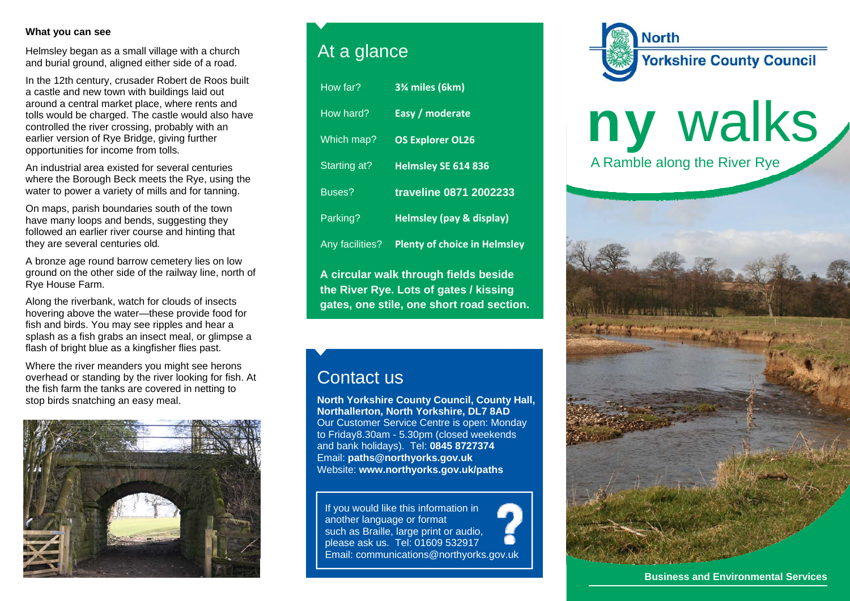#### **What you can see**

Helmsley began as a small village with a church and burial ground, aligned either side of a road.

In the 12th century, crusader Robert de Roos built a castle and new town with buildings laid out around a central market place, where rents and tolls would be charged. The castle would also have controlled the river crossing, probably with an earlier version of Rye Bridge, giving further opportunities for income from tolls*.* 

An industrial area existed for several centuries where the Borough Beck meets the Rye, using the water to power a variety of mills and for tanning.

On maps, parish boundaries south of the town have many loops and bends, suggesting they followed an earlier river course and hinting that they are several centuries old*.* 

A bronze age round barrow cemetery lies on low ground on the other side of the railway line, north of Rye House Farm.

Along the riverbank, watch for clouds of insects hovering above the water—these provide food for fish and birds. You may see ripples and hear a splash as a fish grabs an insect meal, or glimpse a flash of bright blue as a kingfisher flies past.

Where the river meanders you might see herons overhead or standing by the river looking for fish. At the fish farm the tanks are covered in netting to stop birds snatching an easy meal.



## At a glance

| How far?                              | 3% miles (6km)                      |
|---------------------------------------|-------------------------------------|
| How hard?                             | Easy / moderate                     |
| Which map?                            | <b>OS Explorer OL26</b>             |
| Starting at?                          | Helmsley SE 614 836                 |
| Buses?                                | traveline 0871 2002233              |
| Parking?                              | <b>Helmsley (pay &amp; display)</b> |
| Any facilities?                       | <b>Plenty of choice in Helmsley</b> |
| A circular walk through fields beside |                                     |

**the River Rye. Lots of gates / kissing gates, one stile, one short road section.** 

## Contact us

**North Yorkshire County Council, County Hall, Northallerton, North Yorkshire, DL7 8AD** Our Customer Service Centre is open: Monday to Friday8.30am - 5.30pm (closed weekends and bank holidays). Tel: **0845 8727374** Email: **paths@northyorks.gov.uk**  Website: **www.northyorks.gov.uk/paths**

If you would like this information in another language or format such as Braille, large print or audio, please ask us. Tel: 01609 532917 Email: communications@northyorks.gov.uk



# ny walks A Ramble along the River Rye



**Business and Environmental Services**